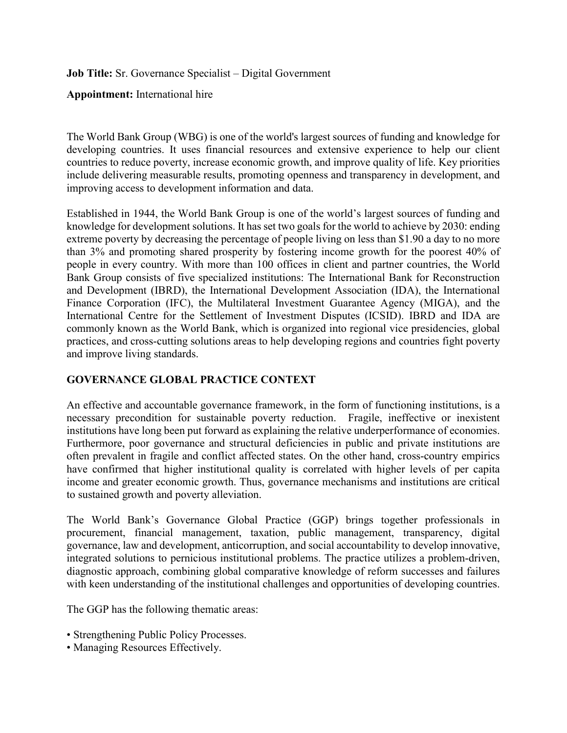**Job Title:** Sr. Governance Specialist – Digital Government

**Appointment:** International hire

The World Bank Group (WBG) is one of the world's largest sources of funding and knowledge for developing countries. It uses financial resources and extensive experience to help our client countries to reduce poverty, increase economic growth, and improve quality of life. Key priorities include delivering measurable results, promoting openness and transparency in development, and improving access to development information and data.

Established in 1944, the World Bank Group is one of the world's largest sources of funding and knowledge for development solutions. It has set two goals for the world to achieve by 2030: ending extreme poverty by decreasing the percentage of people living on less than \$1.90 a day to no more than 3% and promoting shared prosperity by fostering income growth for the poorest 40% of people in every country. With more than 100 offices in client and partner countries, the World Bank Group consists of five specialized institutions: The International Bank for Reconstruction and Development (IBRD), the International Development Association (IDA), the International Finance Corporation (IFC), the Multilateral Investment Guarantee Agency (MIGA), and the International Centre for the Settlement of Investment Disputes (ICSID). IBRD and IDA are commonly known as the World Bank, which is organized into regional vice presidencies, global practices, and cross-cutting solutions areas to help developing regions and countries fight poverty and improve living standards.

## **GOVERNANCE GLOBAL PRACTICE CONTEXT**

An effective and accountable governance framework, in the form of functioning institutions, is a necessary precondition for sustainable poverty reduction. Fragile, ineffective or inexistent institutions have long been put forward as explaining the relative underperformance of economies. Furthermore, poor governance and structural deficiencies in public and private institutions are often prevalent in fragile and conflict affected states. On the other hand, cross-country empirics have confirmed that higher institutional quality is correlated with higher levels of per capita income and greater economic growth. Thus, governance mechanisms and institutions are critical to sustained growth and poverty alleviation.

The World Bank's Governance Global Practice (GGP) brings together professionals in procurement, financial management, taxation, public management, transparency, digital governance, law and development, anticorruption, and social accountability to develop innovative, integrated solutions to pernicious institutional problems. The practice utilizes a problem-driven, diagnostic approach, combining global comparative knowledge of reform successes and failures with keen understanding of the institutional challenges and opportunities of developing countries.

The GGP has the following thematic areas:

- Strengthening Public Policy Processes.
- Managing Resources Effectively.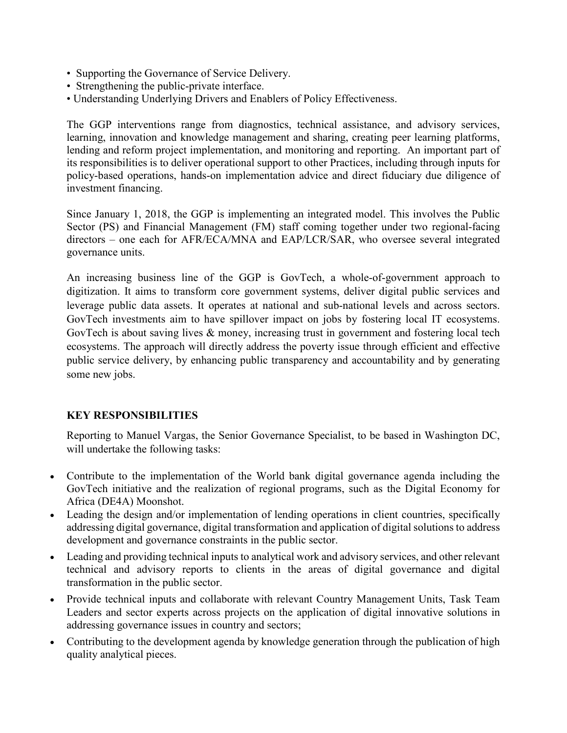- Supporting the Governance of Service Delivery.
- Strengthening the public-private interface.
- Understanding Underlying Drivers and Enablers of Policy Effectiveness.

The GGP interventions range from diagnostics, technical assistance, and advisory services, learning, innovation and knowledge management and sharing, creating peer learning platforms, lending and reform project implementation, and monitoring and reporting. An important part of its responsibilities is to deliver operational support to other Practices, including through inputs for policy-based operations, hands-on implementation advice and direct fiduciary due diligence of investment financing.

Since January 1, 2018, the GGP is implementing an integrated model. This involves the Public Sector (PS) and Financial Management (FM) staff coming together under two regional-facing directors – one each for AFR/ECA/MNA and EAP/LCR/SAR, who oversee several integrated governance units.

An increasing business line of the GGP is GovTech, a whole-of-government approach to digitization. It aims to transform core government systems, deliver digital public services and leverage public data assets. It operates at national and sub-national levels and across sectors. GovTech investments aim to have spillover impact on jobs by fostering local IT ecosystems. GovTech is about saving lives & money, increasing trust in government and fostering local tech ecosystems. The approach will directly address the poverty issue through efficient and effective public service delivery, by enhancing public transparency and accountability and by generating some new jobs.

## **KEY RESPONSIBILITIES**

Reporting to Manuel Vargas, the Senior Governance Specialist, to be based in Washington DC, will undertake the following tasks:

- Contribute to the implementation of the World bank digital governance agenda including the GovTech initiative and the realization of regional programs, such as the Digital Economy for Africa (DE4A) Moonshot.
- Leading the design and/or implementation of lending operations in client countries, specifically addressing digital governance, digital transformation and application of digital solutions to address development and governance constraints in the public sector.
- Leading and providing technical inputs to analytical work and advisory services, and other relevant technical and advisory reports to clients in the areas of digital governance and digital transformation in the public sector.
- Provide technical inputs and collaborate with relevant Country Management Units, Task Team Leaders and sector experts across projects on the application of digital innovative solutions in addressing governance issues in country and sectors;
- Contributing to the development agenda by knowledge generation through the publication of high quality analytical pieces.